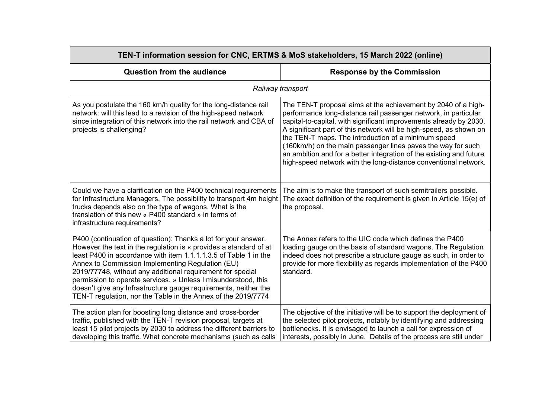| TEN-T information session for CNC, ERTMS & MoS stakeholders, 15 March 2022 (online)                                                                                                                                                                                                                                                                                                                                                                                                                                             |                                                                                                                                                                                                                                                                                                                                                                                                                                                                                                                                               |
|---------------------------------------------------------------------------------------------------------------------------------------------------------------------------------------------------------------------------------------------------------------------------------------------------------------------------------------------------------------------------------------------------------------------------------------------------------------------------------------------------------------------------------|-----------------------------------------------------------------------------------------------------------------------------------------------------------------------------------------------------------------------------------------------------------------------------------------------------------------------------------------------------------------------------------------------------------------------------------------------------------------------------------------------------------------------------------------------|
| <b>Question from the audience</b>                                                                                                                                                                                                                                                                                                                                                                                                                                                                                               | <b>Response by the Commission</b>                                                                                                                                                                                                                                                                                                                                                                                                                                                                                                             |
|                                                                                                                                                                                                                                                                                                                                                                                                                                                                                                                                 | Railway transport                                                                                                                                                                                                                                                                                                                                                                                                                                                                                                                             |
| As you postulate the 160 km/h quality for the long-distance rail<br>network: will this lead to a revision of the high-speed network<br>since integration of this network into the rail network and CBA of<br>projects is challenging?                                                                                                                                                                                                                                                                                           | The TEN-T proposal aims at the achievement by 2040 of a high-<br>performance long-distance rail passenger network, in particular<br>capital-to-capital, with significant improvements already by 2030.<br>A significant part of this network will be high-speed, as shown on<br>the TEN-T maps. The introduction of a minimum speed<br>(160km/h) on the main passenger lines paves the way for such<br>an ambition and for a better integration of the existing and future<br>high-speed network with the long-distance conventional network. |
| Could we have a clarification on the P400 technical requirements<br>for Infrastructure Managers. The possibility to transport 4m height<br>trucks depends also on the type of wagons. What is the<br>translation of this new « P400 standard » in terms of<br>infrastructure requirements?                                                                                                                                                                                                                                      | The aim is to make the transport of such semitrailers possible.<br>The exact definition of the requirement is given in Article 15(e) of<br>the proposal.                                                                                                                                                                                                                                                                                                                                                                                      |
| P400 (continuation of question): Thanks a lot for your answer.<br>However the text in the regulation is « provides a standard of at<br>least P400 in accordance with item 1.1.1.1.3.5 of Table 1 in the<br>Annex to Commission Implementing Regulation (EU)<br>2019/77748, without any additional requirement for special<br>permission to operate services. » Unless I misunderstood, this<br>doesn't give any Infrastructure gauge requirements, neither the<br>TEN-T regulation, nor the Table in the Annex of the 2019/7774 | The Annex refers to the UIC code which defines the P400<br>loading gauge on the basis of standard wagons. The Regulation<br>indeed does not prescribe a structure gauge as such, in order to<br>provide for more flexibility as regards implementation of the P400<br>standard.                                                                                                                                                                                                                                                               |
| The action plan for boosting long distance and cross-border<br>traffic, published with the TEN-T revision proposal, targets at<br>least 15 pilot projects by 2030 to address the different barriers to<br>developing this traffic. What concrete mechanisms (such as calls                                                                                                                                                                                                                                                      | The objective of the initiative will be to support the deployment of<br>the selected pilot projects, notably by identifying and addressing<br>bottlenecks. It is envisaged to launch a call for expression of<br>interests, possibly in June. Details of the process are still under                                                                                                                                                                                                                                                          |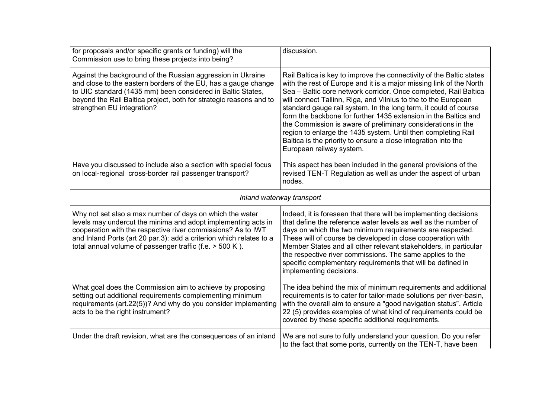| for proposals and/or specific grants or funding) will the<br>Commission use to bring these projects into being?                                                                                                                                                                                                              | discussion.                                                                                                                                                                                                                                                                                                                                                                                                                                                                                                                                                                                                                                             |
|------------------------------------------------------------------------------------------------------------------------------------------------------------------------------------------------------------------------------------------------------------------------------------------------------------------------------|---------------------------------------------------------------------------------------------------------------------------------------------------------------------------------------------------------------------------------------------------------------------------------------------------------------------------------------------------------------------------------------------------------------------------------------------------------------------------------------------------------------------------------------------------------------------------------------------------------------------------------------------------------|
| Against the background of the Russian aggression in Ukraine<br>and close to the eastern borders of the EU, has a gauge change<br>to UIC standard (1435 mm) been considered in Baltic States,<br>beyond the Rail Baltica project, both for strategic reasons and to<br>strengthen EU integration?                             | Rail Baltica is key to improve the connectivity of the Baltic states<br>with the rest of Europe and it is a major missing link of the North<br>Sea - Baltic core network corridor. Once completed, Rail Baltica<br>will connect Tallinn, Riga, and Vilnius to the to the European<br>standard gauge rail system. In the long term, it could of course<br>form the backbone for further 1435 extension in the Baltics and<br>the Commission is aware of preliminary considerations in the<br>region to enlarge the 1435 system. Until then completing Rail<br>Baltica is the priority to ensure a close integration into the<br>European railway system. |
| Have you discussed to include also a section with special focus<br>on local-regional cross-border rail passenger transport?                                                                                                                                                                                                  | This aspect has been included in the general provisions of the<br>revised TEN-T Regulation as well as under the aspect of urban<br>nodes.                                                                                                                                                                                                                                                                                                                                                                                                                                                                                                               |
| Inland waterway transport                                                                                                                                                                                                                                                                                                    |                                                                                                                                                                                                                                                                                                                                                                                                                                                                                                                                                                                                                                                         |
| Why not set also a max number of days on which the water<br>levels may undercut the minima and adopt implementing acts in<br>cooperation with the respective river commissions? As to IWT<br>and Inland Ports (art 20 par.3): add a criterion which relates to a<br>total annual volume of passenger traffic (f.e. > 500 K). | Indeed, it is foreseen that there will be implementing decisions<br>that define the reference water levels as well as the number of<br>days on which the two minimum requirements are respected.<br>These will of course be developed in close cooperation with<br>Member States and all other relevant stakeholders, in particular<br>the respective river commissions. The same applies to the<br>specific complementary requirements that will be defined in<br>implementing decisions.                                                                                                                                                              |
| What goal does the Commission aim to achieve by proposing<br>setting out additional requirements complementing minimum<br>requirements (art.22(5))? And why do you consider implementing<br>acts to be the right instrument?                                                                                                 | The idea behind the mix of minimum requirements and additional<br>requirements is to cater for tailor-made solutions per river-basin,<br>with the overall aim to ensure a "good navigation status". Article<br>22 (5) provides examples of what kind of requirements could be<br>covered by these specific additional requirements.                                                                                                                                                                                                                                                                                                                     |
| Under the draft revision, what are the consequences of an inland                                                                                                                                                                                                                                                             | We are not sure to fully understand your question. Do you refer<br>to the fact that some ports, currently on the TEN-T, have been                                                                                                                                                                                                                                                                                                                                                                                                                                                                                                                       |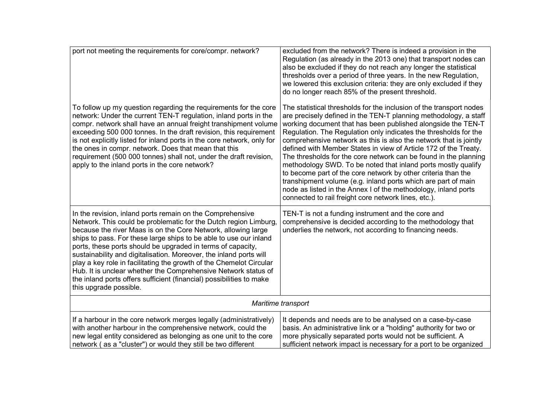| port not meeting the requirements for core/compr. network?                                                                                                                                                                                                                                                                                                                                                                                                                                                                                                                                                                                          | excluded from the network? There is indeed a provision in the<br>Regulation (as already in the 2013 one) that transport nodes can<br>also be excluded if they do not reach any longer the statistical<br>thresholds over a period of three years. In the new Regulation,<br>we lowered this exclusion criteria: they are only excluded if they<br>do no longer reach 85% of the present threshold.                                                                                                                                                                                                                                                                                                                                                                                                                    |
|-----------------------------------------------------------------------------------------------------------------------------------------------------------------------------------------------------------------------------------------------------------------------------------------------------------------------------------------------------------------------------------------------------------------------------------------------------------------------------------------------------------------------------------------------------------------------------------------------------------------------------------------------------|-----------------------------------------------------------------------------------------------------------------------------------------------------------------------------------------------------------------------------------------------------------------------------------------------------------------------------------------------------------------------------------------------------------------------------------------------------------------------------------------------------------------------------------------------------------------------------------------------------------------------------------------------------------------------------------------------------------------------------------------------------------------------------------------------------------------------|
| To follow up my question regarding the requirements for the core<br>network: Under the current TEN-T regulation, inland ports in the<br>compr. network shall have an annual freight transhipment volume<br>exceeding 500 000 tonnes. In the draft revision, this requirement<br>is not explicitly listed for inland ports in the core network, only for<br>the ones in compr. network. Does that mean that this<br>requirement (500 000 tonnes) shall not, under the draft revision,<br>apply to the inland ports in the core network?                                                                                                              | The statistical thresholds for the inclusion of the transport nodes<br>are precisely defined in the TEN-T planning methodology, a staff<br>working document that has been published alongside the TEN-T<br>Regulation. The Regulation only indicates the thresholds for the<br>comprehensive network as this is also the network that is jointly<br>defined with Member States in view of Article 172 of the Treaty.<br>The thresholds for the core network can be found in the planning<br>methodology SWD. To be noted that inland ports mostly qualify<br>to become part of the core network by other criteria than the<br>transhipment volume (e.g. inland ports which are part of main<br>node as listed in the Annex I of the methodology, inland ports<br>connected to rail freight core network lines, etc.). |
| In the revision, inland ports remain on the Comprehensive<br>Network. This could be problematic for the Dutch region Limburg,<br>because the river Maas is on the Core Network, allowing large<br>ships to pass. For these large ships to be able to use our inland<br>ports, these ports should be upgraded in terms of capacity,<br>sustainability and digitalisation. Moreover, the inland ports will<br>play a key role in facilitating the growth of the Chemelot Circular<br>Hub. It is unclear whether the Comprehensive Network status of<br>the inland ports offers sufficient (financial) possibilities to make<br>this upgrade possible. | TEN-T is not a funding instrument and the core and<br>comprehensive is decided according to the methodology that<br>underlies the network, not according to financing needs.                                                                                                                                                                                                                                                                                                                                                                                                                                                                                                                                                                                                                                          |
|                                                                                                                                                                                                                                                                                                                                                                                                                                                                                                                                                                                                                                                     | Maritime transport                                                                                                                                                                                                                                                                                                                                                                                                                                                                                                                                                                                                                                                                                                                                                                                                    |
| If a harbour in the core network merges legally (administratively)<br>with another harbour in the comprehensive network, could the<br>new legal entity considered as belonging as one unit to the core<br>network (as a "cluster") or would they still be two different                                                                                                                                                                                                                                                                                                                                                                             | It depends and needs are to be analysed on a case-by-case<br>basis. An administrative link or a "holding" authority for two or<br>more physically separated ports would not be sufficient. A<br>sufficient network impact is necessary for a port to be organized                                                                                                                                                                                                                                                                                                                                                                                                                                                                                                                                                     |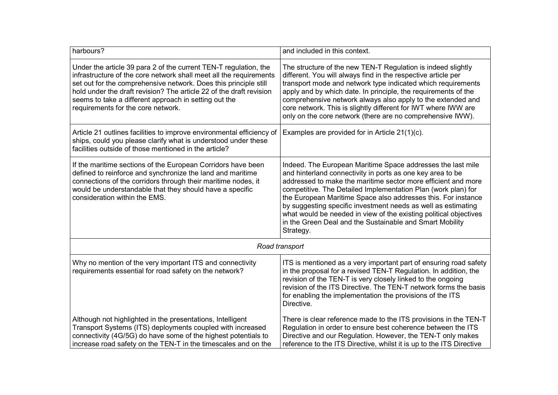| harbours?                                                                                                                                                                                                                                                                                                                                                                        | and included in this context.                                                                                                                                                                                                                                                                                                                                                                                                                                                                                                               |
|----------------------------------------------------------------------------------------------------------------------------------------------------------------------------------------------------------------------------------------------------------------------------------------------------------------------------------------------------------------------------------|---------------------------------------------------------------------------------------------------------------------------------------------------------------------------------------------------------------------------------------------------------------------------------------------------------------------------------------------------------------------------------------------------------------------------------------------------------------------------------------------------------------------------------------------|
| Under the article 39 para 2 of the current TEN-T regulation, the<br>infrastructure of the core network shall meet all the requirements<br>set out for the comprehensive network. Does this principle still<br>hold under the draft revision? The article 22 of the draft revision<br>seems to take a different approach in setting out the<br>requirements for the core network. | The structure of the new TEN-T Regulation is indeed slightly<br>different. You will always find in the respective article per<br>transport mode and network type indicated which requirements<br>apply and by which date. In principle, the requirements of the<br>comprehensive network always also apply to the extended and<br>core network. This is slightly different for IWT where IWW are<br>only on the core network (there are no comprehensive IWW).                                                                              |
| Article 21 outlines facilities to improve environmental efficiency of<br>ships, could you please clarify what is understood under these<br>facilities outside of those mentioned in the article?                                                                                                                                                                                 | Examples are provided for in Article 21(1)(c).                                                                                                                                                                                                                                                                                                                                                                                                                                                                                              |
| If the maritime sections of the European Corridors have been<br>defined to reinforce and synchronize the land and maritime<br>connections of the corridors through their maritime nodes, it<br>would be understandable that they should have a specific<br>consideration within the EMS.                                                                                         | Indeed. The European Maritime Space addresses the last mile<br>and hinterland connectivity in ports as one key area to be<br>addressed to make the maritime sector more efficient and more<br>competitive. The Detailed Implementation Plan (work plan) for<br>the European Maritime Space also addresses this. For instance<br>by suggesting specific investment needs as well as estimating<br>what would be needed in view of the existing political objectives<br>in the Green Deal and the Sustainable and Smart Mobility<br>Strategy. |
| Road transport                                                                                                                                                                                                                                                                                                                                                                   |                                                                                                                                                                                                                                                                                                                                                                                                                                                                                                                                             |
| Why no mention of the very important ITS and connectivity<br>requirements essential for road safety on the network?                                                                                                                                                                                                                                                              | ITS is mentioned as a very important part of ensuring road safety<br>in the proposal for a revised TEN-T Regulation. In addition, the<br>revision of the TEN-T is very closely linked to the ongoing<br>revision of the ITS Directive. The TEN-T network forms the basis<br>for enabling the implementation the provisions of the ITS<br>Directive.                                                                                                                                                                                         |
| Although not highlighted in the presentations, Intelligent<br>Transport Systems (ITS) deployments coupled with increased<br>connectivity (4G/5G) do have some of the highest potentials to<br>increase road safety on the TEN-T in the timescales and on the                                                                                                                     | There is clear reference made to the ITS provisions in the TEN-T<br>Regulation in order to ensure best coherence between the ITS<br>Directive and our Regulation. However, the TEN-T only makes<br>reference to the ITS Directive, whilst it is up to the ITS Directive                                                                                                                                                                                                                                                                     |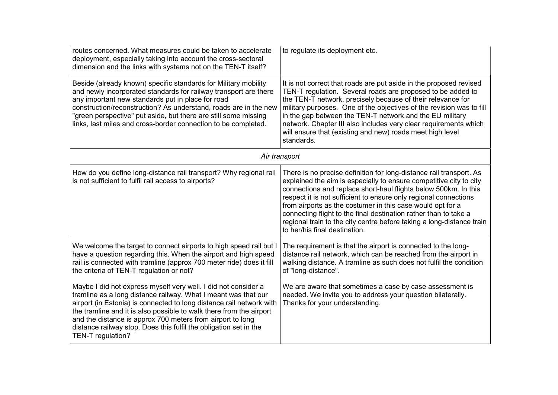| routes concerned. What measures could be taken to accelerate<br>deployment, especially taking into account the cross-sectoral<br>dimension and the links with systems not on the TEN-T itself?                                                                                                                                                                                                                                          | to regulate its deployment etc.                                                                                                                                                                                                                                                                                                                                                                                                                                                                                              |
|-----------------------------------------------------------------------------------------------------------------------------------------------------------------------------------------------------------------------------------------------------------------------------------------------------------------------------------------------------------------------------------------------------------------------------------------|------------------------------------------------------------------------------------------------------------------------------------------------------------------------------------------------------------------------------------------------------------------------------------------------------------------------------------------------------------------------------------------------------------------------------------------------------------------------------------------------------------------------------|
| Beside (already known) specific standards for Military mobility<br>and newly incorporated standards for railway transport are there<br>any important new standards put in place for road<br>construction/reconstruction? As understand, roads are in the new<br>"green perspective" put aside, but there are still some missing<br>links, last miles and cross-border connection to be completed.                                       | It is not correct that roads are put aside in the proposed revised<br>TEN-T regulation. Several roads are proposed to be added to<br>the TEN-T network, precisely because of their relevance for<br>military purposes. One of the objectives of the revision was to fill<br>in the gap between the TEN-T network and the EU military<br>network. Chapter III also includes very clear requirements which<br>will ensure that (existing and new) roads meet high level<br>standards.                                          |
| Air transport                                                                                                                                                                                                                                                                                                                                                                                                                           |                                                                                                                                                                                                                                                                                                                                                                                                                                                                                                                              |
| How do you define long-distance rail transport? Why regional rail<br>is not sufficient to fulfil rail access to airports?                                                                                                                                                                                                                                                                                                               | There is no precise definition for long-distance rail transport. As<br>explained the aim is especially to ensure competitive city to city<br>connections and replace short-haul flights below 500km. In this<br>respect it is not sufficient to ensure only regional connections<br>from airports as the costumer in this case would opt for a<br>connecting flight to the final destination rather than to take a<br>regional train to the city centre before taking a long-distance train<br>to her/his final destination. |
| We welcome the target to connect airports to high speed rail but I<br>have a question regarding this. When the airport and high speed<br>rail is connected with tramline (approx 700 meter ride) does it fill<br>the criteria of TEN-T regulation or not?                                                                                                                                                                               | The requirement is that the airport is connected to the long-<br>distance rail network, which can be reached from the airport in<br>walking distance. A tramline as such does not fulfil the condition<br>of "long-distance".                                                                                                                                                                                                                                                                                                |
| Maybe I did not express myself very well. I did not consider a<br>tramline as a long distance railway. What I meant was that our<br>airport (in Estonia) is connected to long distance rail network with<br>the tramline and it is also possible to walk there from the airport<br>and the distance is approx 700 meters from airport to long<br>distance railway stop. Does this fulfil the obligation set in the<br>TEN-T regulation? | We are aware that sometimes a case by case assessment is<br>needed. We invite you to address your question bilaterally.<br>Thanks for your understanding.                                                                                                                                                                                                                                                                                                                                                                    |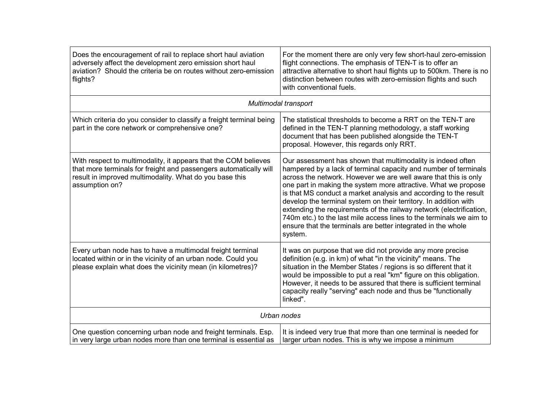| Does the encouragement of rail to replace short haul aviation<br>adversely affect the development zero emission short haul<br>aviation? Should the criteria be on routes without zero-emission<br>flights?        | For the moment there are only very few short-haul zero-emission<br>flight connections. The emphasis of TEN-T is to offer an<br>attractive alternative to short haul flights up to 500km. There is no<br>distinction between routes with zero-emission flights and such<br>with conventional fuels.                                                                                                                                                                                                                                                                                                                                   |
|-------------------------------------------------------------------------------------------------------------------------------------------------------------------------------------------------------------------|--------------------------------------------------------------------------------------------------------------------------------------------------------------------------------------------------------------------------------------------------------------------------------------------------------------------------------------------------------------------------------------------------------------------------------------------------------------------------------------------------------------------------------------------------------------------------------------------------------------------------------------|
|                                                                                                                                                                                                                   | Multimodal transport                                                                                                                                                                                                                                                                                                                                                                                                                                                                                                                                                                                                                 |
| Which criteria do you consider to classify a freight terminal being<br>part in the core network or comprehensive one?                                                                                             | The statistical thresholds to become a RRT on the TEN-T are<br>defined in the TEN-T planning methodology, a staff working<br>document that has been published alongside the TEN-T<br>proposal. However, this regards only RRT.                                                                                                                                                                                                                                                                                                                                                                                                       |
| With respect to multimodality, it appears that the COM believes<br>that more terminals for freight and passengers automatically will<br>result in improved multimodality. What do you base this<br>assumption on? | Our assessment has shown that multimodality is indeed often<br>hampered by a lack of terminal capacity and number of terminals<br>across the network. However we are well aware that this is only<br>one part in making the system more attractive. What we propose<br>is that MS conduct a market analysis and according to the result<br>develop the terminal system on their territory. In addition with<br>extending the requirements of the railway network (electrification,<br>740m etc.) to the last mile access lines to the terminals we aim to<br>ensure that the terminals are better integrated in the whole<br>system. |
| Every urban node has to have a multimodal freight terminal<br>located within or in the vicinity of an urban node. Could you<br>please explain what does the vicinity mean (in kilometres)?                        | It was on purpose that we did not provide any more precise<br>definition (e.g. in km) of what "in the vicinity" means. The<br>situation in the Member States / regions is so different that it<br>would be impossible to put a real "km" figure on this obligation.<br>However, it needs to be assured that there is sufficient terminal<br>capacity really "serving" each node and thus be "functionally<br>linked".                                                                                                                                                                                                                |
|                                                                                                                                                                                                                   | Urban nodes                                                                                                                                                                                                                                                                                                                                                                                                                                                                                                                                                                                                                          |
| One question concerning urban node and freight terminals. Esp.<br>in very large urban nodes more than one terminal is essential as                                                                                | It is indeed very true that more than one terminal is needed for<br>larger urban nodes. This is why we impose a minimum                                                                                                                                                                                                                                                                                                                                                                                                                                                                                                              |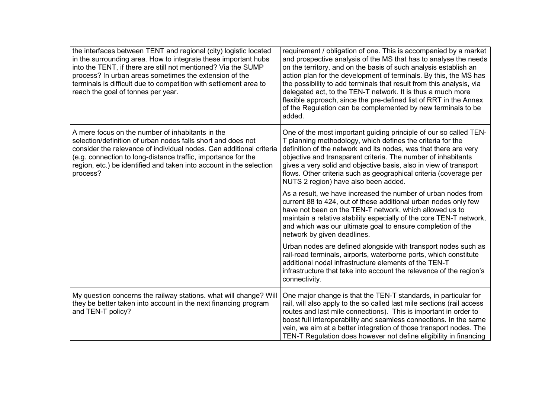| the interfaces between TENT and regional (city) logistic located<br>in the surrounding area. How to integrate these important hubs<br>into the TENT, if there are still not mentioned? Via the SUMP<br>process? In urban areas sometimes the extension of the<br>terminals is difficult due to competition with settlement area to<br>reach the goal of tonnes per year. | requirement / obligation of one. This is accompanied by a market<br>and prospective analysis of the MS that has to analyse the needs<br>on the territory, and on the basis of such analysis establish an<br>action plan for the development of terminals. By this, the MS has<br>the possibility to add terminals that result from this analysis, via<br>delegated act, to the TEN-T network. It is thus a much more<br>flexible approach, since the pre-defined list of RRT in the Annex<br>of the Regulation can be complemented by new terminals to be<br>added. |
|--------------------------------------------------------------------------------------------------------------------------------------------------------------------------------------------------------------------------------------------------------------------------------------------------------------------------------------------------------------------------|---------------------------------------------------------------------------------------------------------------------------------------------------------------------------------------------------------------------------------------------------------------------------------------------------------------------------------------------------------------------------------------------------------------------------------------------------------------------------------------------------------------------------------------------------------------------|
| A mere focus on the number of inhabitants in the<br>selection/definition of urban nodes falls short and does not<br>consider the relevance of individual nodes. Can additional criteria<br>(e.g. connection to long-distance traffic, importance for the<br>region, etc.) be identified and taken into account in the selection<br>process?                              | One of the most important guiding principle of our so called TEN-<br>T planning methodology, which defines the criteria for the<br>definition of the network and its nodes, was that there are very<br>objective and transparent criteria. The number of inhabitants<br>gives a very solid and objective basis, also in view of transport<br>flows. Other criteria such as geographical criteria (coverage per<br>NUTS 2 region) have also been added.                                                                                                              |
|                                                                                                                                                                                                                                                                                                                                                                          | As a result, we have increased the number of urban nodes from<br>current 88 to 424, out of these additional urban nodes only few<br>have not been on the TEN-T network, which allowed us to<br>maintain a relative stability especially of the core TEN-T network,<br>and which was our ultimate goal to ensure completion of the<br>network by given deadlines.                                                                                                                                                                                                    |
|                                                                                                                                                                                                                                                                                                                                                                          | Urban nodes are defined alongside with transport nodes such as<br>rail-road terminals, airports, waterborne ports, which constitute<br>additional nodal infrastructure elements of the TEN-T<br>infrastructure that take into account the relevance of the region's<br>connectivity.                                                                                                                                                                                                                                                                                |
| My question concerns the railway stations. what will change? Will<br>they be better taken into account in the next financing program<br>and TEN-T policy?                                                                                                                                                                                                                | One major change is that the TEN-T standards, in particular for<br>rail, will also apply to the so called last mile sections (rail access<br>routes and last mile connections). This is important in order to<br>boost full interoperability and seamless connections. In the same<br>vein, we aim at a better integration of those transport nodes. The<br>TEN-T Regulation does however not define eligibility in financing                                                                                                                                       |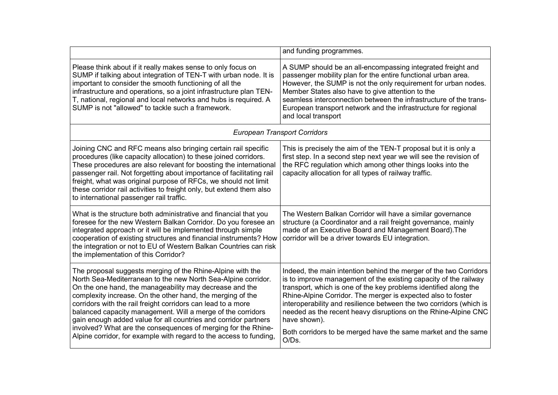|                                                                                                                                                                                                                                                                                                                                                                                                                                                                                                                                                                                               | and funding programmes.                                                                                                                                                                                                                                                                                                                                                                                                                                                                                      |  |
|-----------------------------------------------------------------------------------------------------------------------------------------------------------------------------------------------------------------------------------------------------------------------------------------------------------------------------------------------------------------------------------------------------------------------------------------------------------------------------------------------------------------------------------------------------------------------------------------------|--------------------------------------------------------------------------------------------------------------------------------------------------------------------------------------------------------------------------------------------------------------------------------------------------------------------------------------------------------------------------------------------------------------------------------------------------------------------------------------------------------------|--|
| Please think about if it really makes sense to only focus on<br>SUMP if talking about integration of TEN-T with urban node. It is<br>important to consider the smooth functioning of all the<br>infrastructure and operations, so a joint infrastructure plan TEN-<br>T, national, regional and local networks and hubs is required. A<br>SUMP is not "allowed" to tackle such a framework.                                                                                                                                                                                                   | A SUMP should be an all-encompassing integrated freight and<br>passenger mobility plan for the entire functional urban area.<br>However, the SUMP is not the only requirement for urban nodes.<br>Member States also have to give attention to the<br>seamless interconnection between the infrastructure of the trans-<br>European transport network and the infrastructure for regional<br>and local transport                                                                                             |  |
| <b>European Transport Corridors</b>                                                                                                                                                                                                                                                                                                                                                                                                                                                                                                                                                           |                                                                                                                                                                                                                                                                                                                                                                                                                                                                                                              |  |
| Joining CNC and RFC means also bringing certain rail specific<br>procedures (like capacity allocation) to these joined corridors.<br>These procedures are also relevant for boosting the international<br>passenger rail. Not forgetting about importance of facilitating rail<br>freight, what was original purpose of RFCs, we should not limit<br>these corridor rail activities to freight only, but extend them also<br>to international passenger rail traffic.                                                                                                                         | This is precisely the aim of the TEN-T proposal but it is only a<br>first step. In a second step next year we will see the revision of<br>the RFC regulation which among other things looks into the<br>capacity allocation for all types of railway traffic.                                                                                                                                                                                                                                                |  |
| What is the structure both administrative and financial that you<br>foresee for the new Western Balkan Corridor. Do you foresee an<br>integrated approach or it will be implemented through simple<br>cooperation of existing structures and financial instruments? How<br>the integration or not to EU of Western Balkan Countries can risk<br>the implementation of this Corridor?                                                                                                                                                                                                          | The Western Balkan Corridor will have a similar governance<br>structure (a Coordinator and a rail freight governance, mainly<br>made of an Executive Board and Management Board). The<br>corridor will be a driver towards EU integration.                                                                                                                                                                                                                                                                   |  |
| The proposal suggests merging of the Rhine-Alpine with the<br>North Sea-Mediterranean to the new North Sea-Alpine corridor.<br>On the one hand, the manageability may decrease and the<br>complexity increase. On the other hand, the merging of the<br>corridors with the rail freight corridors can lead to a more<br>balanced capacity management. Will a merge of the corridors<br>gain enough added value for all countries and corridor partners<br>involved? What are the consequences of merging for the Rhine-<br>Alpine corridor, for example with regard to the access to funding, | Indeed, the main intention behind the merger of the two Corridors<br>is to improve management of the existing capacity of the railway<br>transport, which is one of the key problems identified along the<br>Rhine-Alpine Corridor. The merger is expected also to foster<br>interoperability and resilience between the two corridors (which is<br>needed as the recent heavy disruptions on the Rhine-Alpine CNC<br>have shown).<br>Both corridors to be merged have the same market and the same<br>O/Ds. |  |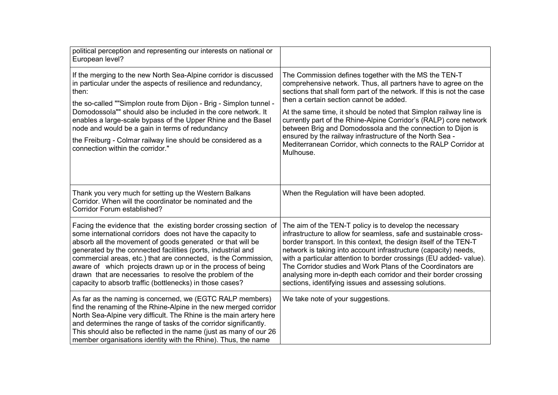| political perception and representing our interests on national or<br>European level?                                                                                                                                                                                                                                                                                                                                                                                                                                 |                                                                                                                                                                                                                                                                                                                                                                                                                                                                                                                                                                                                 |
|-----------------------------------------------------------------------------------------------------------------------------------------------------------------------------------------------------------------------------------------------------------------------------------------------------------------------------------------------------------------------------------------------------------------------------------------------------------------------------------------------------------------------|-------------------------------------------------------------------------------------------------------------------------------------------------------------------------------------------------------------------------------------------------------------------------------------------------------------------------------------------------------------------------------------------------------------------------------------------------------------------------------------------------------------------------------------------------------------------------------------------------|
| If the merging to the new North Sea-Alpine corridor is discussed<br>in particular under the aspects of resilience and redundancy,<br>then:<br>the so-called ""Simplon route from Dijon - Brig - Simplon tunnel -<br>Domodossola"" should also be included in the core network. It<br>enables a large-scale bypass of the Upper Rhine and the Basel<br>node and would be a gain in terms of redundancy<br>the Freiburg - Colmar railway line should be considered as a<br>connection within the corridor."             | The Commission defines together with the MS the TEN-T<br>comprehensive network. Thus, all partners have to agree on the<br>sections that shall form part of the network. If this is not the case<br>then a certain section cannot be added.<br>At the same time, it should be noted that Simplon railway line is<br>currently part of the Rhine-Alpine Corridor's (RALP) core network<br>between Brig and Domodossola and the connection to Dijon is<br>ensured by the railway infrastructure of the North Sea -<br>Mediterranean Corridor, which connects to the RALP Corridor at<br>Mulhouse. |
| Thank you very much for setting up the Western Balkans<br>Corridor. When will the coordinator be nominated and the<br><b>Corridor Forum established?</b>                                                                                                                                                                                                                                                                                                                                                              | When the Regulation will have been adopted.                                                                                                                                                                                                                                                                                                                                                                                                                                                                                                                                                     |
| Facing the evidence that the existing border crossing section of<br>some international corridors does not have the capacity to<br>absorb all the movement of goods generated or that will be<br>generated by the connected facilities (ports, industrial and<br>commercial areas, etc.) that are connected, is the Commission,<br>aware of which projects drawn up or in the process of being<br>drawn that are necessaries to resolve the problem of the<br>capacity to absorb traffic (bottlenecks) in those cases? | The aim of the TEN-T policy is to develop the necessary<br>infrastructure to allow for seamless, safe and sustainable cross-<br>border transport. In this context, the design itself of the TEN-T<br>network is taking into account infrastructure (capacity) needs,<br>with a particular attention to border crossings (EU added- value).<br>The Corridor studies and Work Plans of the Coordinators are<br>analysing more in-depth each corridor and their border crossing<br>sections, identifying issues and assessing solutions.                                                           |
| As far as the naming is concerned, we (EGTC RALP members)<br>find the renaming of the Rhine-Alpine in the new merged corridor<br>North Sea-Alpine very difficult. The Rhine is the main artery here<br>and determines the range of tasks of the corridor significantly.<br>This should also be reflected in the name (just as many of our 26<br>member organisations identity with the Rhine). Thus, the name                                                                                                         | We take note of your suggestions.                                                                                                                                                                                                                                                                                                                                                                                                                                                                                                                                                               |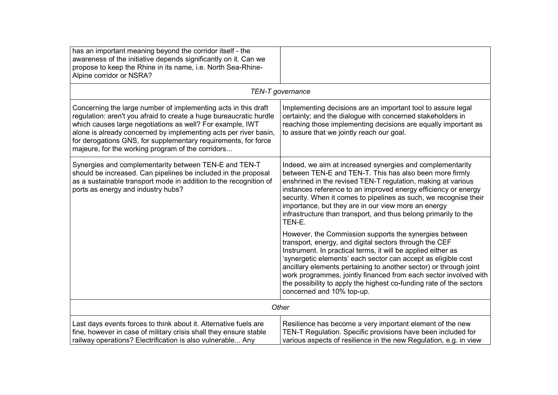| has an important meaning beyond the corridor itself - the<br>awareness of the initiative depends significantly on it. Can we<br>propose to keep the Rhine in its name, i.e. North Sea-Rhine-<br>Alpine corridor or NSRA?                                                                                                                                                                     |                                                                                                                                                                                                                                                                                                                                                                                                                                                                                                |
|----------------------------------------------------------------------------------------------------------------------------------------------------------------------------------------------------------------------------------------------------------------------------------------------------------------------------------------------------------------------------------------------|------------------------------------------------------------------------------------------------------------------------------------------------------------------------------------------------------------------------------------------------------------------------------------------------------------------------------------------------------------------------------------------------------------------------------------------------------------------------------------------------|
|                                                                                                                                                                                                                                                                                                                                                                                              | TEN-T governance                                                                                                                                                                                                                                                                                                                                                                                                                                                                               |
| Concerning the large number of implementing acts in this draft<br>regulation: aren't you afraid to create a huge bureaucratic hurdle<br>which causes large negotiations as well? For example, IWT<br>alone is already concerned by implementing acts per river basin,<br>for derogations GNS, for supplementary requirements, for force<br>majeure, for the working program of the corridors | Implementing decisions are an important tool to assure legal<br>certainty; and the dialogue with concerned stakeholders in<br>reaching those implementing decisions are equally important as<br>to assure that we jointly reach our goal.                                                                                                                                                                                                                                                      |
| Synergies and complementarity between TEN-E and TEN-T<br>should be increased. Can pipelines be included in the proposal<br>as a sustainable transport mode in addition to the recognition of<br>ports as energy and industry hubs?                                                                                                                                                           | Indeed, we aim at increased synergies and complementarity<br>between TEN-E and TEN-T. This has also been more firmly<br>enshrined in the revised TEN-T regulation, making at various<br>instances reference to an improved energy efficiency or energy<br>security. When it comes to pipelines as such, we recognise their<br>importance, but they are in our view more an energy<br>infrastructure than transport, and thus belong primarily to the<br>TEN-E.                                 |
|                                                                                                                                                                                                                                                                                                                                                                                              | However, the Commission supports the synergies between<br>transport, energy, and digital sectors through the CEF<br>Instrument. In practical terms, it will be applied either as<br>'synergetic elements' each sector can accept as eligible cost<br>ancillary elements pertaining to another sector) or through joint<br>work programmes, jointly financed from each sector involved with<br>the possibility to apply the highest co-funding rate of the sectors<br>concerned and 10% top-up. |
| Other                                                                                                                                                                                                                                                                                                                                                                                        |                                                                                                                                                                                                                                                                                                                                                                                                                                                                                                |
| Last days events forces to think about it. Alternative fuels are<br>fine, however in case of military crisis shall they ensure stable<br>railway operations? Electrification is also vulnerable Any                                                                                                                                                                                          | Resilience has become a very important element of the new<br>TEN-T Regulation. Specific provisions have been included for<br>various aspects of resilience in the new Regulation, e.g. in view                                                                                                                                                                                                                                                                                                 |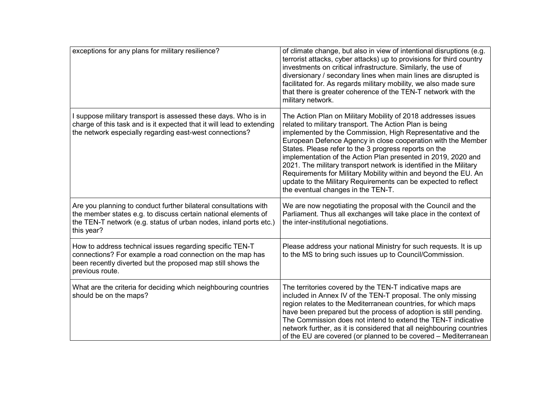| exceptions for any plans for military resilience?                                                                                                                                                                     | of climate change, but also in view of intentional disruptions (e.g.<br>terrorist attacks, cyber attacks) up to provisions for third country<br>investments on critical infrastructure. Similarly, the use of<br>diversionary / secondary lines when main lines are disrupted is<br>facilitated for. As regards military mobility, we also made sure<br>that there is greater coherence of the TEN-T network with the<br>military network.                                                                                                                                                                                        |
|-----------------------------------------------------------------------------------------------------------------------------------------------------------------------------------------------------------------------|-----------------------------------------------------------------------------------------------------------------------------------------------------------------------------------------------------------------------------------------------------------------------------------------------------------------------------------------------------------------------------------------------------------------------------------------------------------------------------------------------------------------------------------------------------------------------------------------------------------------------------------|
| I suppose military transport is assessed these days. Who is in<br>charge of this task and is it expected that it will lead to extending<br>the network especially regarding east-west connections?                    | The Action Plan on Military Mobility of 2018 addresses issues<br>related to military transport. The Action Plan is being<br>implemented by the Commission, High Representative and the<br>European Defence Agency in close cooperation with the Member<br>States. Please refer to the 3 progress reports on the<br>implementation of the Action Plan presented in 2019, 2020 and<br>2021. The military transport network is identified in the Military<br>Requirements for Military Mobility within and beyond the EU. An<br>update to the Military Requirements can be expected to reflect<br>the eventual changes in the TEN-T. |
| Are you planning to conduct further bilateral consultations with<br>the member states e.g. to discuss certain national elements of<br>the TEN-T network (e.g. status of urban nodes, inland ports etc.)<br>this year? | We are now negotiating the proposal with the Council and the<br>Parliament. Thus all exchanges will take place in the context of<br>the inter-institutional negotiations.                                                                                                                                                                                                                                                                                                                                                                                                                                                         |
| How to address technical issues regarding specific TEN-T<br>connections? For example a road connection on the map has<br>been recently diverted but the proposed map still shows the<br>previous route.               | Please address your national Ministry for such requests. It is up<br>to the MS to bring such issues up to Council/Commission.                                                                                                                                                                                                                                                                                                                                                                                                                                                                                                     |
| What are the criteria for deciding which neighbouring countries<br>should be on the maps?                                                                                                                             | The territories covered by the TEN-T indicative maps are<br>included in Annex IV of the TEN-T proposal. The only missing<br>region relates to the Mediterranean countries, for which maps<br>have been prepared but the process of adoption is still pending.<br>The Commission does not intend to extend the TEN-T indicative<br>network further, as it is considered that all neighbouring countries<br>of the EU are covered (or planned to be covered – Mediterranean                                                                                                                                                         |